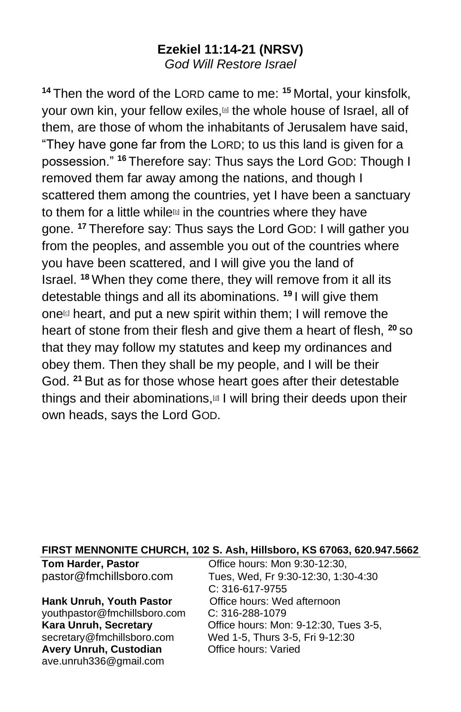# **Ezekiel 11:14-21 (NRSV)** *God Will Restore Israel*

**<sup>14</sup>** Then the word of the LORD came to me: **<sup>15</sup>** Mortal, your kinsfolk, your own kin, your fellow exiles,<sup>[\[a\]](https://www.biblegateway.com/passage/?search=Ezekiel+11&version=NRSV#fen-NRSV-20671a)</sup> the whole house of Israel, all of them, are those of whom the inhabitants of Jerusalem have said, "They have gone far from the LORD; to us this land is given for a possession." **<sup>16</sup>** Therefore say: Thus says the Lord GOD: Though I removed them far away among the nations, and though I scattered them among the countries, yet I have been a sanctuary to them for a little while $\square$  in the countries where they have gone. **<sup>17</sup>** Therefore say: Thus says the Lord GOD: I will gather you from the peoples, and assemble you out of the countries where you have been scattered, and I will give you the land of Israel. **<sup>18</sup>** When they come there, they will remove from it all its detestable things and all its abominations. **<sup>19</sup>** I will give them one $\omega$  heart, and put a new spirit within them; I will remove the heart of stone from their flesh and give them a heart of flesh, **<sup>20</sup>** so that they may follow my statutes and keep my ordinances and obey them. Then they shall be my people, and I will be their God. **<sup>21</sup>** But as for those whose heart goes after their detestable things and their abominations, I will bring their deeds upon their own heads, says the Lord GOD.

#### **FIRST MENNONITE CHURCH, 102 S. Ash, Hillsboro, KS 67063, 620.947.5662**

**Hank Unruh, Youth Pastor** Office hours: Wed afternoon vouthpastor@fmchillsboro.com C: 316-288-1079 [youthpastor@fmchillsboro.com](mailto:youthpastor@fmchillsboro.com) **Avery Unruh, Custodian Office hours: Varied** ave.unruh336@gmail.com

**Tom Harder, Pastor Collection Controls** Controls Mon 9:30-12:30, pastor@fmchillsboro.com Tues, Wed, Fr 9:30-12:30, 1:30-4:30 C: 316-617-9755 **Kara Unruh, Secretary Character Constructs: Mon: 9-12:30, Tues 3-5,** secretary@fmchillsboro.com Wed 1-5, Thurs 3-5, Fri 9-12:30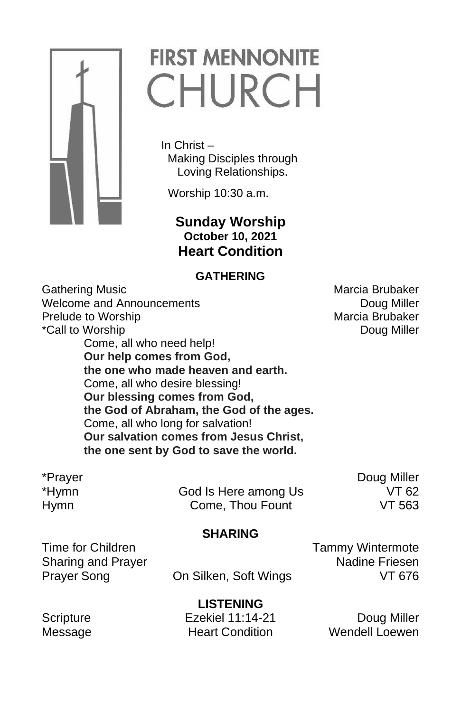

# **FIRST MENNONITE** CHURCH

 In Christ – Making Disciples through Loving Relationships.

Worship 10:30 a.m.

 **Sunday Worship October 10, 2021 Heart Condition**

### **GATHERING**

Gathering Music **Marcia Brubaker** Marcia Brubaker Welcome and Announcements **Doug Miller** Doug Miller Prelude to Worship Marcia Brubaker \*Call to Worship **Doug Miller Call** to Worship **Doug Miller** Come, all who need help! **Our help comes from God, the one who made heaven and earth.** Come, all who desire blessing! **Our blessing comes from God, the God of Abraham, the God of the ages.** Come, all who long for salvation! **Our salvation comes from Jesus Christ, the one sent by God to save the world.**

\*Hymn God Is Here among Us VT 62 Hymn Come, Thou Fount VT 563

\*Prayer **Doug Miller** 

## **SHARING**

Time for Children Time for Children Tammy Wintermote Sharing and Prayer Nadine Friesen

Prayer Song **On Silken, Soft Wings** VT 676

**LISTENING**

Scripture **Ezekiel 11:14-21** Doug Miller Message **Heart Condition** Wendell Loewen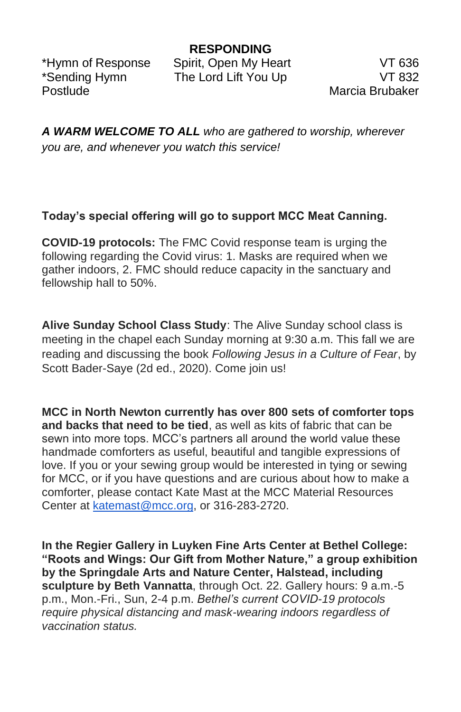Postlude **Marcia Brubaker** 

\*Hymn of Response Spirit, Open My Heart VT 636 \*Sending Hymn The Lord Lift You Up VT 832

*A WARM WELCOME TO ALL who are gathered to worship, wherever you are, and whenever you watch this service!*

### **Today's special offering will go to support MCC Meat Canning.**

**COVID-19 protocols:** The FMC Covid response team is urging the following regarding the Covid virus: 1. Masks are required when we gather indoors, 2. FMC should reduce capacity in the sanctuary and fellowship hall to 50%.

**Alive Sunday School Class Study**: The Alive Sunday school class is meeting in the chapel each Sunday morning at 9:30 a.m. This fall we are reading and discussing the book *Following Jesus in a Culture of Fear*, by Scott Bader-Saye (2d ed., 2020). Come join us!

**MCC in North Newton currently has over 800 sets of comforter tops and backs that need to be tied**, as well as kits of fabric that can be sewn into more tops. MCC's partners all around the world value these handmade comforters as useful, beautiful and tangible expressions of love. If you or your sewing group would be interested in tying or sewing for MCC, or if you have questions and are curious about how to make a comforter, please contact Kate Mast at the MCC Material Resources Center at [katemast@mcc.org,](mailto:katemast@mcc.org) or 316-283-2720.

**In the Regier Gallery in Luyken Fine Arts Center at Bethel College: "Roots and Wings: Our Gift from Mother Nature," a group exhibition by the Springdale Arts and Nature Center, Halstead, including sculpture by Beth Vannatta**, through Oct. 22. Gallery hours: 9 a.m.-5 p.m., Mon.-Fri., Sun, 2-4 p.m. *Bethel's current COVID-19 protocols require physical distancing and mask-wearing indoors regardless of vaccination status.*